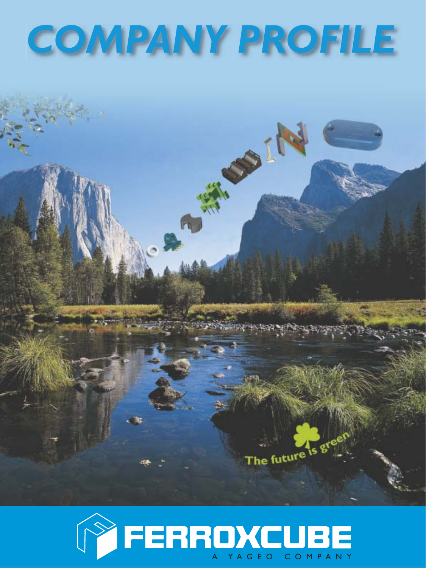# *COMPANY PROFILE*

A MERIDA



The future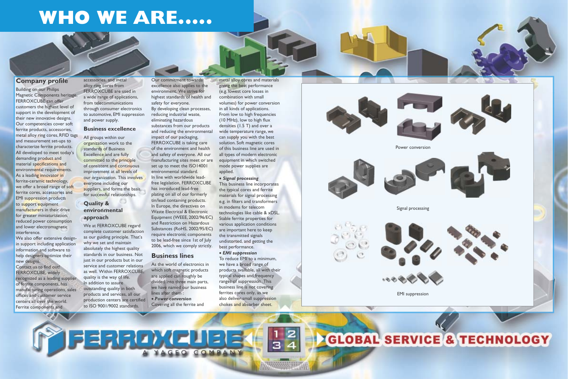# **WHO WE ARE.....**

## **Company profile**

Building on our Philips Magnetic Components heritage, FERROXCUBE can offer customers the highest level of support in the development of their new innovative designs. Our competencies cover soft ferrite products, accessories, metal alloy ring cores, RFID tags and measurement set-ups to characterize ferrite products. All developed to meet today's demanding product and material specifications and environmental requirements. As a leading innovator in ferrite-ceramic technology, we offer a broad range of soft ferrite cores, accessories and EMI suppression products to support equipment manufacturers in their drive for greater miniaturization, reduced power consumption and lower electromagnetic interference.

We also offer extensive designin support including application information and software to help designers optimize their new designs.

Contact us to find out! FERROXCUBE, widely recognized as a leading supplier of ferrite components, has manufacturing operations, sales offices and customer service centers all over the world. Ferrite components and

accessories, and metal alloy ring cores from FERROXCUBE are used in a wide range of applications, from telecommunications through consumer electronics to automotive, EMI suppression and power supply.

#### **Business excellence**

All groups within our organization work to the standards of Business Excellence and are fully committed to the principle of consistent and continuous improvement at all levels of our organization. This involves everyone including our suppliers, and forms the basis for successful relationships.

### **Quality & environmental approach**

We at FERROXCUBE regard complete customer satisfaction as our guiding principle. That's why we set and maintain absolutely the highest quality standards in our business. Not just in our products but in our service and customer relations as well. Within FERROXCUBE, quality is the way of life. In addition to assure outstanding quality in both products and services, all our production centers are certified to ISO 9001/9002 standards.

Our commitment towards excellence also applies to the environment. We strive for highest standards of health and safety for everyone. By developing clean processes, reducing industrial waste, eliminating hazardous substances from our products and reducing the environmental impact of our packaging, FERROXCUBE is taking care of the environment and health and safety of everyone. All our manufacturing sites meet or are set up to meet the ISO14001 environmental standard. In line with worldwide leadfree legislation, FERROXCUBE has introduced lead-free plating on all of our formerly tin/lead containing products. In Europe, the directives on Waste Electrical & Electronic Equipment (WEEE, 2002/96/EC) and Restriction on Hazardous Substances (RoHS, 2002/95/EC) require electronic components to be lead-free since 1st of July 2006, which we comply strictly.

## **Business lines**

As the world of electronics in which soft magnetic products are applied can roughly be divided into three main parts, we have named our business lines after them : • *Power conversion* Covering all the ferrite and

metal alloy cores and materials giving the best performance (e.g. lowest core losses in combination with small volumes) for power conversion in all kinds of applications. From low to high frequencies  $(10$  MHz), low to high flux densities (1.5 T) and over a wide temperature range, we can supply you with the best solution. Soft magnetic cores of this business line are used in all types of modern electronic equipment in which switched mode power supplies are applied.

#### • *Signal processing*

This business line incorporates the typical cores and ferrite materials for signal processing e.g. in filters and transformers in modems for telecom technologies like cable & xDSL. Stable ferrite properties for various application conditions are important here to keep the transmitted signals undistorted, and getting the best performance. • *EMI suppression*

To reduce EMI to a minimum, we have a broad range of products available, all with their typical shapes and frequency ranges of suppression. This business line is not covering ferrites cores only, as we also deliver small suppression chokes and absorber sheet.













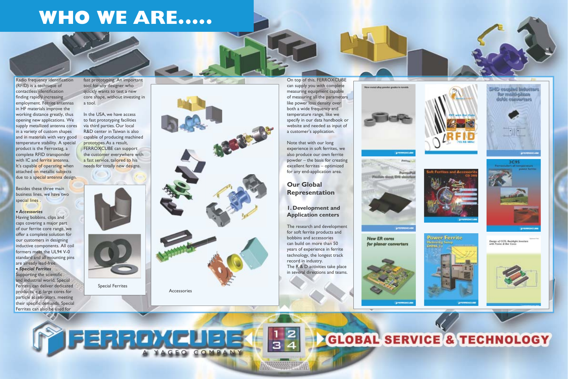Besides these three main business lines, we have two special lines.

their specific demands. Special Ferrites can also be used for

#### • *Accessories*

Having bobbins, clips and caps covering a major part of our ferrite core range, we offer a complete solution for our customers in designing inductive components. All coil formers meet the UL94 V-0 standard and all mounting pins are already lead-free. • *Special Ferrites* Supporting the scientific and industrial world, Special Ferrites can deliver dedicated products, e.g. large cores for particle accelerators, meeting

fast prototyping. An important tool for any designer who quickly wants to test a new core shape, without investing in a tool.

In the USA, we have access to fast prototyping facilities via third parties. Our local R&D center in Taiwan is also capable of producing machined prototypes. As a result, FERROXCUBE can support the customer everywhere with a fast service, tailored to his needs for totally new designs.





On top of this, FERROXCUBE can supply you with complete measuring equipment capable of measuring all the parameters like power loss density over both a wide frequency and temperature range, like we specify in our data handbook or website and needed as input of a customer's application.

Note that with our long experience in soft ferrites, we also produce our own ferrite powder – the basis for creating excellent ferrites – optimized for any end-application area.

## **Our Global Representation**

### **1. Development and Application centers**

The research and development for soft ferrite products and bobbins and accessories can build on more than 50 years of experience in ferrite technology, the longest track record in industry. The R & D activities take place in several directions and teams.





arennossa

**New ER cores** for planar converters



FERROXE  $\Xi$ COMPANY





# **WHO WE ARE.....**

Radio frequency identification (RFID) is a technique of contactless identification finding rapidly increasing employment. Ferrite antennas in HF materials improve the working distance greatly, thus opening new applications. We supply metallized antenna cores in a variety of custom shapes and in materials with very good temperature stability. A special product is the Ferroxtag, a complete RFID transponder with IC and ferrite antenna. It's capable of operating when attached on metallic subjects due to a special antenna design.

Special Ferrites



Accessories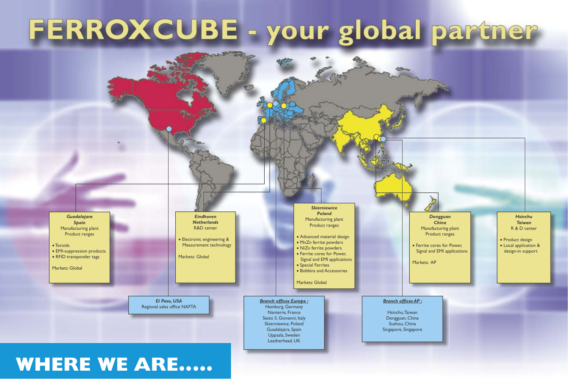# **WHERE WE ARE.....**



# FERROXCUBE - your global partner

*Guadalajara Spain* Manufacturing plant Product ranges

• Toroids • EMI-suppression products • RFID transponder tags

Markets: Global

*El Paso, USA* Regional sales office NAFTA

*Eindhoven Netherlands* R&D center

• Electronic engineering & Measurement technology

Markets: Global

*Branch offices Europe :* Hamburg, Germany Nanterre, France Sesto S. Giovanni, Italy Skierniewice, Poland Guadalajara, Spain Uppsala, Sweden Leatherhead, UK

*Skierniewice Poland* Manufacturing plant Product ranges

- Advanced material design
- MnZn ferrite powders
- NiZn ferrite powders • Ferrite cores for Power,
- Signal and EMI applications
- Special Ferrites
- Bobbins and Accessories

Markets: Global

*Branch offices AP :*

Hsinchu, Taiwan Dongguan, China Suzhou, China Singapore, Singapore

*Dongguan China* Manufacturing plant Product ranges

• Ferrite cores for Power, Signal and EMI applications

Markets: AP

*Hsinchu Taiwan* R & D center

• Product design

• Local application & design-in support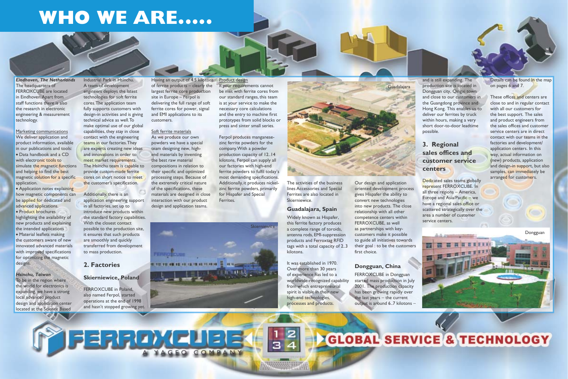# **WHO WE ARE.....**

*Eindhoven, The Netherlands* The headquarters of FERROXCUBE are located in Eindhoven. Apart from staff functions there is also the research in electronic engineering & measurement technology.

Marketing communications We deliver application and product information, available in our publications and tools: • Data handbook and a CD with electronic tools to simulate the magnetic functions and helping to find the best magnetic solution for a specific application.

• Application notes explaining how magnetic components can be applied for dedicated and advanced applications. • Product brochures highlighting the availability of new products and explaining the intended applications  $\bullet$  Material leaflets making the customers aware of new innovated advanced materials

with improved specifications for optimizing the magnetic designs.

Industrial Park in Hsinchu. A team of development engineers deploys the latest technologies for soft ferrite cores. The application team fully supports customers with design-in activities and is giving technical advice as well. To make optimal use of our global capabilities, they stay in close contact with the engineering teams in our factories. They are experts creating new ideas and innovations in order to meet market requirements. The Hsinchu team is capable to provide custom-made ferrite cores on short notice to meet the customer's specification.

#### *Hsinchu, Taiwan*

To be in the region where the world for electronics is expanding, we have a strong local advanced product design and application center located at the Science Based

Additionally, there is an application engineering support in all factories, set up to introduce new products within the standard factory capabilities. With the closest contact possible to the production site, it ensures that such products are smoothly and quickly transferred from development to mass production.

Having an output of 4.5 kilotons Product design of ferrite products – clearly the largest ferrite core production site in Europe – Ferpol is delivering the full range of soft ferrite cores for power, signal and EMI applications to its customers.

### **2. Factories**

#### **Skierniewice, Poland**

FERROXCUBE in Poland, also named Ferpol, started operations at the end of 1998 and hasn't stopped growing yet.

FERROXCUBB

Soft ferrite materials As we produce our own powders we have a special team designing new, highend materials by inventing the best raw material compositions in relation to their specific and optimized processing steps. Because of the extremely critical nature of the specifications, these materials are designed in close interaction with our product design and application teams.

If your requirements cannot be met with ferrite cores from our standard ranges, this team is at your service to make the necessary core calculations and the entry to machine first prototypes from solid blocks or press and sinter small series.

Ferpol produces manganesezinc ferrite powders for the company. With a powder production capacity of 12..14 kilotons, Ferpol can supply all our factories with high-end ferrite powders to fulfil today's most demanding specifications. Additionally, it produces nickelzinc ferrite powders, primarily for Hispafer and Special Ferrites.

The activities of the business lines Accessories and Special Ferrites are also located in Skierniewice.

### **Guadalajara, Spain**

Widely known as Hispafer, this ferrite factory produces a complete range of toroids, antenna rods, EMI-suppression products and Ferroxtag RFID tags with a total capacity of 2..3 kilotons.

It was established in 1970. Over more than 30 years of experience has led to a worldwide-recognized capability from which entrepreneurial spirit is visible in their new high-end technologies, processes and products.

Our design and application oriented development process gives Hispafer the ability to convert new technologies into new products. The close relationship with all other competence centers within FERROXCUBE, as well as partnerships with keycustomers make it possible to guide all initiatives towards their goal : to be the customers first choice.

## **Dongguan, China**

FERROXCUBE in Dongguan started mass production in July 2001. The production capacity has been growing rapidly over the last years – the current output is around 6..7 kilotons −

and is still expanding. The production site is located in Dongguan city, Qingxi town and close to our customers in the Guangdong province and Hong Kong. This enables us to deliver our ferrites by truck within hours, making a very short door-to-door leadtime possible.

# **3. Regional sales offices and customer service centers**

Dedicated sales teams globally represent FERROXCUBE. In all three regions – America, Europe and Asia/Pacific – we have a regional sales office or scattered strategically over the area a number of customer service centers.

Details can be found in the map on pages 6 and 7.

These offices and centers are close to and in regular contact with all our customers for the best support. The sales and product engineers from the sales offices and customer service centers are in direct contact with our teams in the factories and development/ application centers. In this way, actual information on (new) products, application and design-in support, but also samples, can immediately be arranged for customers.



OMPANY



Dongguan

**CLOBAL SERVICE & TECHNOLOGY**